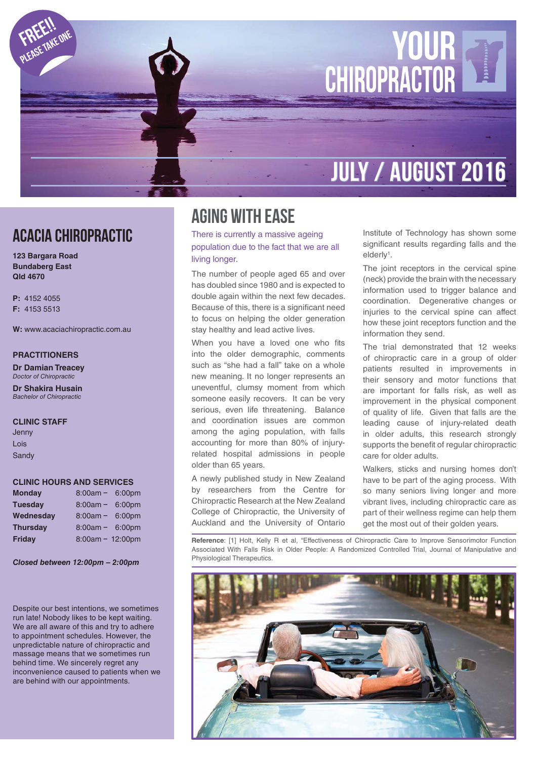

### ACACIA CHIROPRACTIC

**123 Bargara Road Bundaberg East Qld 4670**

**P:** 4152 4055 **F:** 4153 5513

**W:** www.acaciachiropractic.com.au

#### **PRACTITIONERS**

**Dr Damian Treacey** Doctor of Chiropractic

**Dr Shakira Husain** Bachelor of Chiropractic

#### **CLINIC STAFF**

Jenny Lois **Sandy** 

#### **CLINIC HOURS AND SERVICES**

| <b>Monday</b>   | $8:00am -$         | 6:00pm |
|-----------------|--------------------|--------|
| <b>Tuesdav</b>  | $8:00am -$         | 6:00pm |
| Wednesday       | $8:00am -$         | 6:00pm |
| <b>Thursday</b> | $8:00am -$         | 6:00pm |
| Friday          | $8:00am - 12:00pm$ |        |

*Closed between 12:00pm – 2:00pm*

Despite our best intentions, we sometimes run late! Nobody likes to be kept waiting. We are all aware of this and try to adhere to appointment schedules. However, the unpredictable nature of chiropractic and massage means that we sometimes run behind time. We sincerely regret any inconvenience caused to patients when we are behind with our appointments.

# Aging with ease

There is currently a massive ageing population due to the fact that we are all living longer.

The number of people aged 65 and over has doubled since 1980 and is expected to double again within the next few decades. Because of this, there is a significant need to focus on helping the older generation stay healthy and lead active lives.

When you have a loved one who fits into the older demographic, comments such as "she had a fall" take on a whole new meaning. It no longer represents an uneventful, clumsy moment from which someone easily recovers. It can be very serious, even life threatening. Balance and coordination issues are common among the aging population, with falls accounting for more than 80% of injuryrelated hospital admissions in people older than 65 years.

A newly published study in New Zealand by researchers from the Centre for Chiropractic Research at the New Zealand College of Chiropractic, the University of Auckland and the University of Ontario

Institute of Technology has shown some significant results regarding falls and the elderly<sup>1</sup>.

The joint receptors in the cervical spine (neck) provide the brain with the necessary information used to trigger balance and coordination. Degenerative changes or injuries to the cervical spine can affect how these joint receptors function and the information they send.

The trial demonstrated that 12 weeks of chiropractic care in a group of older patients resulted in improvements in their sensory and motor functions that are important for falls risk, as well as improvement in the physical component of quality of life. Given that falls are the leading cause of injury-related death in older adults, this research strongly supports the benefit of regular chiropractic care for older adults.

Walkers, sticks and nursing homes don't have to be part of the aging process. With so many seniors living longer and more vibrant lives, including chiropractic care as part of their wellness regime can help them get the most out of their golden years.

**Reference**: [1] Holt, Kelly R et al, "Effectiveness of Chiropractic Care to Improve Sensorimotor Function Associated With Falls Risk in Older People: A Randomized Controlled Trial, Journal of Manipulative and Physiological Therapeutics.

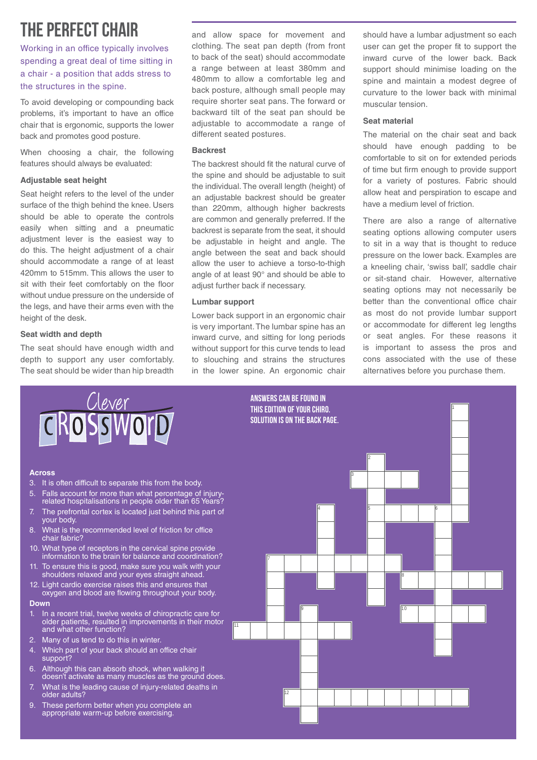# the perfect chair

Working in an office typically involves spending a great deal of time sitting in a chair - a position that adds stress to the structures in the spine.

To avoid developing or compounding back problems, it's important to have an office chair that is ergonomic, supports the lower back and promotes good posture.

When choosing a chair, the following features should always be evaluated:

#### **Adjustable seat height**

Seat height refers to the level of the under surface of the thigh behind the knee. Users should be able to operate the controls easily when sitting and a pneumatic adjustment lever is the easiest way to do this. The height adjustment of a chair should accommodate a range of at least 420mm to 515mm. This allows the user to sit with their feet comfortably on the floor without undue pressure on the underside of the legs, and have their arms even with the height of the desk.

#### **Seat width and depth**

The seat should have enough width and depth to support any user comfortably. The seat should be wider than hip breadth and allow space for movement and clothing. The seat pan depth (from front to back of the seat) should accommodate a range between at least 380mm and 480mm to allow a comfortable leg and back posture, although small people may require shorter seat pans. The forward or backward tilt of the seat pan should be adjustable to accommodate a range of different seated postures.

#### **Backrest**

The backrest should fit the natural curve of the spine and should be adjustable to suit the individual. The overall length (height) of an adjustable backrest should be greater than 220mm, although higher backrests are common and generally preferred. If the backrest is separate from the seat, it should be adjustable in height and angle. The angle between the seat and back should allow the user to achieve a torso-to-thigh angle of at least 90° and should be able to adjust further back if necessary.

#### **Lumbar support**

Lower back support in an ergonomic chair is very important. The lumbar spine has an inward curve, and sitting for long periods without support for this curve tends to lead to slouching and strains the structures in the lower spine. An ergonomic chair should have a lumbar adjustment so each user can get the proper fit to support the inward curve of the lower back. Back support should minimise loading on the spine and maintain a modest degree of curvature to the lower back with minimal muscular tension.

#### **Seat material**

The material on the chair seat and back should have enough padding to be comfortable to sit on for extended periods of time but firm enough to provide support for a variety of postures. Fabric should allow heat and perspiration to escape and have a medium level of friction.

There are also a range of alternative seating options allowing computer users to sit in a way that is thought to reduce pressure on the lower back. Examples are a kneeling chair, 'swiss ball', saddle chair or sit-stand chair. However, alternative seating options may not necessarily be better than the conventional office chair as most do not provide lumbar support or accommodate for different leg lengths or seat angles. For these reasons it is important to assess the pros and cons associated with the use of these alternatives before you purchase them.

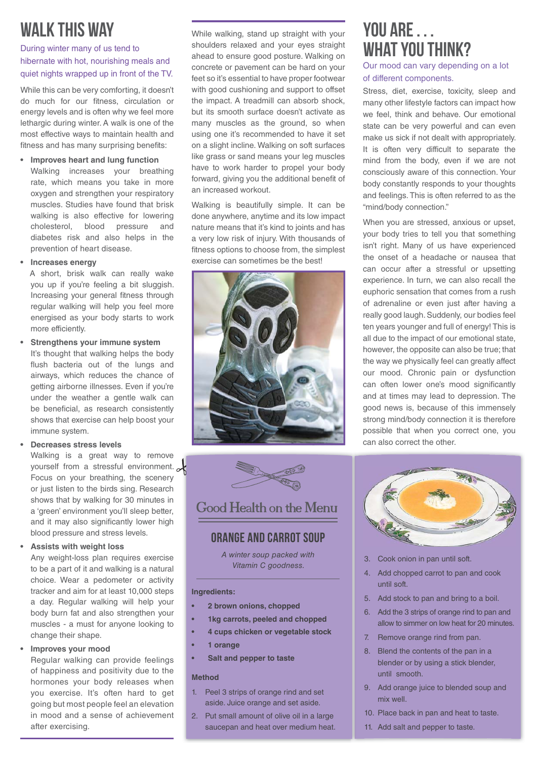# walk this way

During winter many of us tend to hibernate with hot, nourishing meals and quiet nights wrapped up in front of the TV.

While this can be very comforting, it doesn't do much for our fitness, circulation or energy levels and is often why we feel more lethargic during winter. A walk is one of the most effective ways to maintain health and fitness and has many surprising benefits:

**• Improves heart and lung function** Walking increases your breathing rate, which means you take in more oxygen and strengthen your respiratory muscles. Studies have found that brisk walking is also effective for lowering cholesterol, blood pressure and diabetes risk and also helps in the

#### **• Increases energy**

prevention of heart disease.

A short, brisk walk can really wake you up if you're feeling a bit sluggish. Increasing your general fitness through regular walking will help you feel more energised as your body starts to work more efficiently.

**• Strengthens your immune system**

It's thought that walking helps the body flush bacteria out of the lungs and airways, which reduces the chance of getting airborne illnesses. Even if you're under the weather a gentle walk can be beneficial, as research consistently shows that exercise can help boost your immune system.

#### **• Decreases stress levels**

Walking is a great way to remove yourself from a stressful environment.  $\alpha$ Focus on your breathing, the scenery or just listen to the birds sing. Research shows that by walking for 30 minutes in a 'green' environment you'll sleep better, and it may also significantly lower high blood pressure and stress levels.

#### **• Assists with weight loss**

Any weight-loss plan requires exercise to be a part of it and walking is a natural choice. Wear a pedometer or activity tracker and aim for at least 10,000 steps a day. Regular walking will help your body burn fat and also strengthen your muscles - a must for anyone looking to change their shape.

#### **• Improves your mood**

Regular walking can provide feelings of happiness and positivity due to the hormones your body releases when you exercise. It's often hard to get going but most people feel an elevation in mood and a sense of achievement after exercising.

While walking, stand up straight with your shoulders relaxed and your eyes straight ahead to ensure good posture. Walking on concrete or pavement can be hard on your feet so it's essential to have proper footwear with good cushioning and support to offset the impact. A treadmill can absorb shock, but its smooth surface doesn't activate as many muscles as the ground, so when using one it's recommended to have it set on a slight incline. Walking on soft surfaces like grass or sand means your leg muscles have to work harder to propel your body forward, giving you the additional benefit of an increased workout.

Walking is beautifully simple. It can be done anywhere, anytime and its low impact nature means that it's kind to joints and has a very low risk of injury. With thousands of fitness options to choose from, the simplest exercise can sometimes be the best!





# Orange and carrot soup

Good Health on the Menu

A winter soup packed with Vitamin C goodness.

#### **Ingredients:**

- **2 brown onions, chopped**
- **1kg carrots, peeled and chopped**
- **4 cups chicken or vegetable stock**
- **1 orange**
- **Salt and pepper to taste**

#### **Method**

- 1. Peel 3 strips of orange rind and set aside. Juice orange and set aside.
- 2. Put small amount of olive oil in a large saucepan and heat over medium heat.

### **YOU ARE . . .** WHAT YOU THINK?

Our mood can vary depending on a lot of different components.

Stress, diet, exercise, toxicity, sleep and many other lifestyle factors can impact how we feel, think and behave. Our emotional state can be very powerful and can even make us sick if not dealt with appropriately. It is often very difficult to separate the mind from the body, even if we are not consciously aware of this connection. Your body constantly responds to your thoughts and feelings. This is often referred to as the "mind/body connection."

When you are stressed, anxious or upset, your body tries to tell you that something isn't right. Many of us have experienced the onset of a headache or nausea that can occur after a stressful or upsetting experience. In turn, we can also recall the euphoric sensation that comes from a rush of adrenaline or even just after having a really good laugh. Suddenly, our bodies feel ten years younger and full of energy! This is all due to the impact of our emotional state, however, the opposite can also be true; that the way we physically feel can greatly affect our mood. Chronic pain or dysfunction can often lower one's mood significantly and at times may lead to depression. The good news is, because of this immensely strong mind/body connection it is therefore possible that when you correct one, you can also correct the other.



- 3. Cook onion in pan until soft.
- 4. Add chopped carrot to pan and cook until soft.
- 5. Add stock to pan and bring to a boil.
- 6. Add the 3 strips of orange rind to pan and allow to simmer on low heat for 20 minutes.
- 7. Remove orange rind from pan.
- 8. Blend the contents of the pan in a blender or by using a stick blender, until smooth.
- 9. Add orange juice to blended soup and mix well.
- 10. Place back in pan and heat to taste.
- 11. Add salt and pepper to taste.